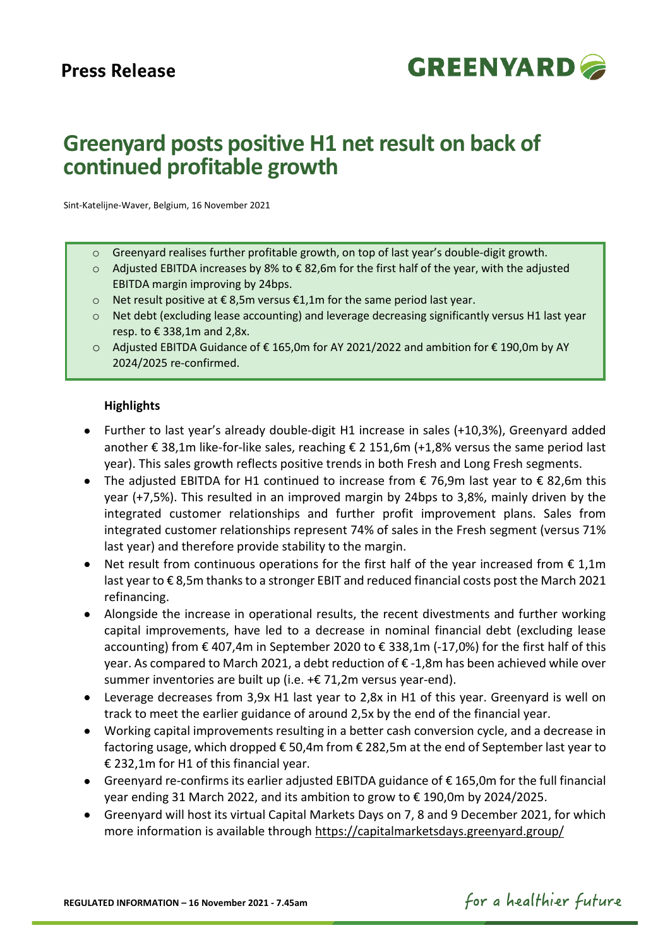

# **Greenyard posts positive H1 net result on back of continued profitable growth**

Sint-Katelijne-Waver, Belgium, 16 November 2021

- $\circ$  Greenyard realises further profitable growth, on top of last year's double-digit growth.
- o Adjusted EBITDA increases by 8% to € 82,6m for the first half of the year, with the adjusted EBITDA margin improving by 24bps.
- o Net result positive at € 8,5m versus €1,1m for the same period last year.
- o Net debt (excluding lease accounting) and leverage decreasing significantly versus H1 last year resp. to € 338,1m and 2,8x.
- o Adjusted EBITDA Guidance of € 165,0m for AY 2021/2022 and ambition for € 190,0m by AY 2024/2025 re-confirmed.

#### **Highlights**

- Further to last year's already double-digit H1 increase in sales (+10,3%), Greenyard added another € 38,1m like-for-like sales, reaching € 2 151,6m (+1,8% versus the same period last year). This sales growth reflects positive trends in both Fresh and Long Fresh segments.
- The adjusted EBITDA for H1 continued to increase from  $\epsilon$  76,9m last year to  $\epsilon$  82,6m this year (+7,5%). This resulted in an improved margin by 24bps to 3,8%, mainly driven by the integrated customer relationships and further profit improvement plans. Sales from integrated customer relationships represent 74% of sales in the Fresh segment (versus 71% last year) and therefore provide stability to the margin.
- Net result from continuous operations for the first half of the year increased from  $\epsilon$  1,1m last year to € 8,5m thanks to a stronger EBIT and reduced financial costs post the March 2021 refinancing.
- Alongside the increase in operational results, the recent divestments and further working capital improvements, have led to a decrease in nominal financial debt (excluding lease accounting) from € 407,4m in September 2020 to € 338,1m (-17,0%) for the first half of this year. As compared to March 2021, a debt reduction of € -1,8m has been achieved while over summer inventories are built up (i.e. +€ 71,2m versus year-end).
- Leverage decreases from 3,9x H1 last year to 2,8x in H1 of this year. Greenyard is well on track to meet the earlier guidance of around 2,5x by the end of the financial year.
- Working capital improvements resulting in a better cash conversion cycle, and a decrease in factoring usage, which dropped € 50,4m from € 282,5m at the end of September last year to € 232,1m for H1 of this financial year.
- Greenyard re-confirms its earlier adjusted EBITDA guidance of € 165,0m for the full financial year ending 31 March 2022, and its ambition to grow to € 190,0m by 2024/2025.
- Greenyard will host its virtual Capital Markets Days on 7, 8 and 9 December 2021, for which more information is available through<https://capitalmarketsdays.greenyard.group/>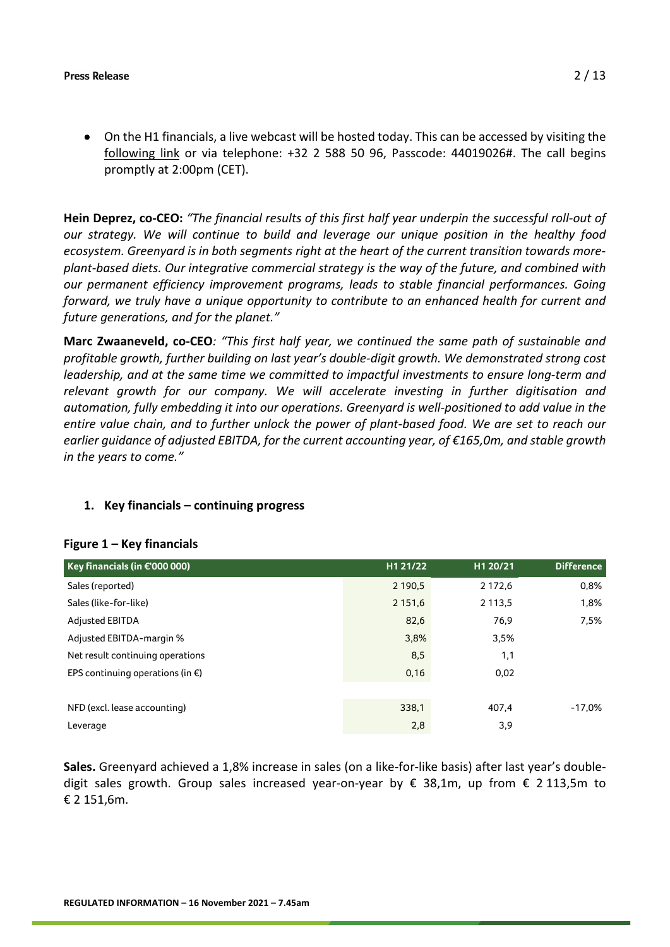• On the H1 financials, a live webcast will be hosted today. This can be accessed by visiting the [following link](https://globalmeet.webcasts.com/starthere.jsp?ei=1511605&tp_key=f09e2eb021) or via telephone: +32 2 588 50 96, Passcode: 44019026#. The call begins promptly at 2:00pm (CET).

**Hein Deprez, co-CEO:** *"The financial results of this first half year underpin the successful roll-out of our strategy. We will continue to build and leverage our unique position in the healthy food ecosystem. Greenyard is in both segments right at the heart of the current transition towards moreplant-based diets. Our integrative commercial strategy is the way of the future, and combined with our permanent efficiency improvement programs, leads to stable financial performances. Going forward, we truly have a unique opportunity to contribute to an enhanced health for current and future generations, and for the planet."* 

**Marc Zwaaneveld, co-CEO***: "This first half year, we continued the same path of sustainable and profitable growth, further building on last year's double-digit growth. We demonstrated strong cost leadership, and at the same time we committed to impactful investments to ensure long-term and relevant growth for our company. We will accelerate investing in further digitisation and automation, fully embedding it into our operations. Greenyard is well-positioned to add value in the entire value chain, and to further unlock the power of plant-based food. We are set to reach our earlier guidance of adjusted EBITDA, for the current accounting year, of €165,0m, and stable growth in the years to come."*

#### **1. Key financials – continuing progress**

#### **Figure 1 – Key financials**

| Key financials (in $\epsilon$ '000 000)    | H1 21/22    | H1 20/21   | <b>Difference</b> |
|--------------------------------------------|-------------|------------|-------------------|
| Sales (reported)                           | 2 190,5     | 2 172,6    | 0,8%              |
| Sales (like-for-like)                      | 2 1 5 1 , 6 | 2 1 1 3 .5 | 1,8%              |
| <b>Adjusted EBITDA</b>                     | 82,6        | 76,9       | 7,5%              |
| Adjusted EBITDA-margin %                   | 3,8%        | 3,5%       |                   |
| Net result continuing operations           | 8,5         | 1,1        |                   |
| EPS continuing operations (in $\epsilon$ ) | 0,16        | 0,02       |                   |
|                                            |             |            |                   |
| NFD (excl. lease accounting)               | 338,1       | 407.4      | $-17.0%$          |
| Leverage                                   | 2,8         | 3,9        |                   |

**Sales.** Greenyard achieved a 1,8% increase in sales (on a like-for-like basis) after last year's doubledigit sales growth. Group sales increased year-on-year by € 38,1m, up from € 2 113,5m to € 2 151,6m.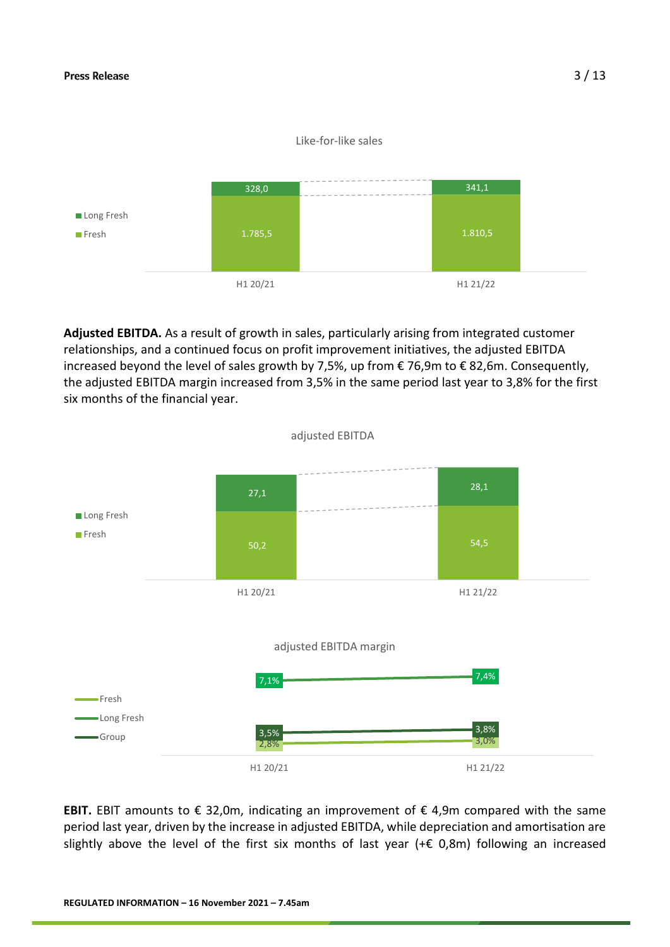#### Like-for-like sales



**Adjusted EBITDA.** As a result of growth in sales, particularly arising from integrated customer relationships, and a continued focus on profit improvement initiatives, the adjusted EBITDA increased beyond the level of sales growth by 7,5%, up from € 76,9m to € 82,6m. Consequently, the adjusted EBITDA margin increased from 3,5% in the same period last year to 3,8% for the first six months of the financial year.



**EBIT.** EBIT amounts to  $\epsilon$  32,0m, indicating an improvement of  $\epsilon$  4,9m compared with the same period last year, driven by the increase in adjusted EBITDA, while depreciation and amortisation are slightly above the level of the first six months of last year (+ $\epsilon$  0,8m) following an increased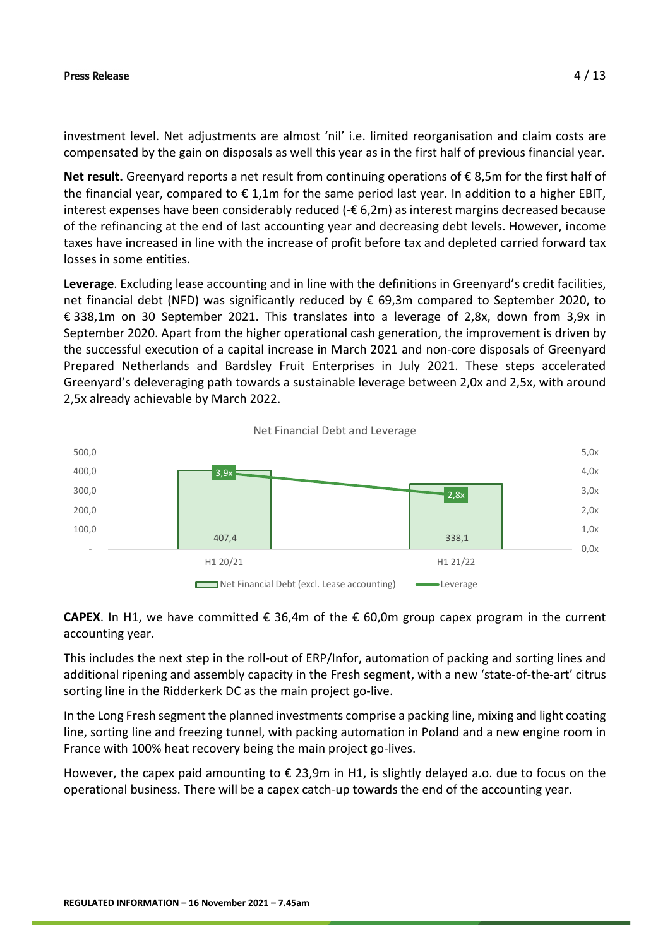investment level. Net adjustments are almost 'nil' i.e. limited reorganisation and claim costs are compensated by the gain on disposals as well this year as in the first half of previous financial year.

**Net result.** Greenyard reports a net result from continuing operations of € 8,5m for the first half of the financial year, compared to  $\epsilon$  1,1m for the same period last year. In addition to a higher EBIT, interest expenses have been considerably reduced (-€ 6,2m) as interest margins decreased because of the refinancing at the end of last accounting year and decreasing debt levels. However, income taxes have increased in line with the increase of profit before tax and depleted carried forward tax losses in some entities.

**Leverage**. Excluding lease accounting and in line with the definitions in Greenyard's credit facilities, net financial debt (NFD) was significantly reduced by € 69,3m compared to September 2020, to € 338,1m on 30 September 2021. This translates into a leverage of 2,8x, down from 3,9x in September 2020. Apart from the higher operational cash generation, the improvement is driven by the successful execution of a capital increase in March 2021 and non-core disposals of Greenyard Prepared Netherlands and Bardsley Fruit Enterprises in July 2021. These steps accelerated Greenyard's deleveraging path towards a sustainable leverage between 2,0x and 2,5x, with around 2,5x already achievable by March 2022.



### **CAPEX**. In H1, we have committed  $\epsilon$  36,4m of the  $\epsilon$  60,0m group capex program in the current accounting year.

This includes the next step in the roll-out of ERP/Infor, automation of packing and sorting lines and additional ripening and assembly capacity in the Fresh segment, with a new 'state-of-the-art' citrus sorting line in the Ridderkerk DC as the main project go-live.

In the Long Fresh segment the planned investments comprise a packing line, mixing and light coating line, sorting line and freezing tunnel, with packing automation in Poland and a new engine room in France with 100% heat recovery being the main project go-lives.

However, the capex paid amounting to € 23,9m in H1, is slightly delayed a.o. due to focus on the operational business. There will be a capex catch-up towards the end of the accounting year.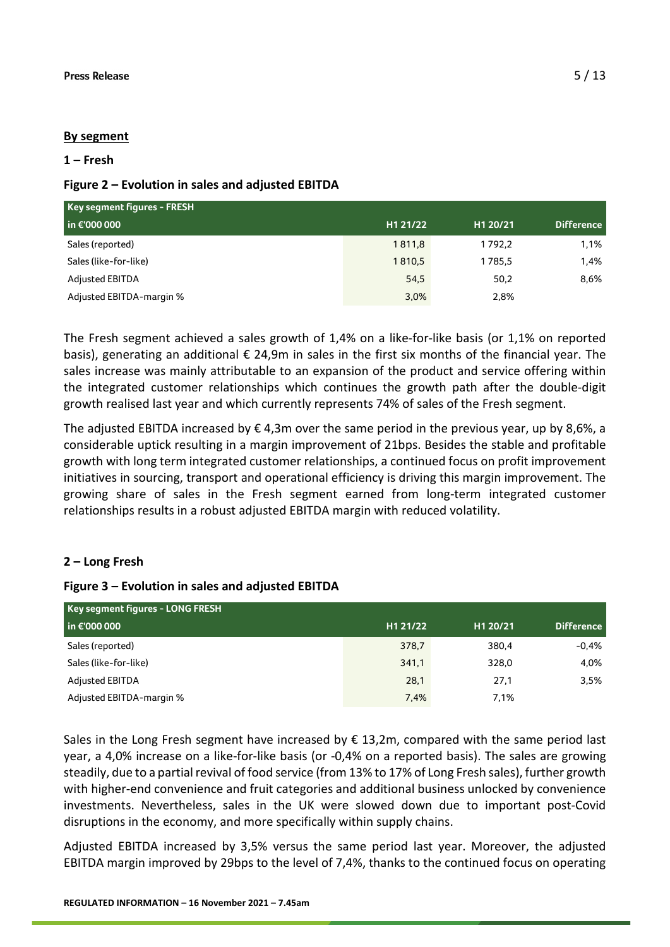#### **By segment**

#### **1 – Fresh**

### **Figure 2 – Evolution in sales and adjusted EBITDA**

| Key segment figures - FRESH |          |          |                   |  |
|-----------------------------|----------|----------|-------------------|--|
| in €'000 000                | H1 21/22 | H1 20/21 | <b>Difference</b> |  |
| Sales (reported)            | 1811,8   | 1792.2   | 1,1%              |  |
| Sales (like-for-like)       | 1810,5   | 1785,5   | 1,4%              |  |
| <b>Adjusted EBITDA</b>      | 54,5     | 50,2     | 8,6%              |  |
| Adjusted EBITDA-margin %    | 3,0%     | 2,8%     |                   |  |

The Fresh segment achieved a sales growth of 1,4% on a like-for-like basis (or 1,1% on reported basis), generating an additional € 24,9m in sales in the first six months of the financial year. The sales increase was mainly attributable to an expansion of the product and service offering within the integrated customer relationships which continues the growth path after the double-digit growth realised last year and which currently represents 74% of sales of the Fresh segment.

The adjusted EBITDA increased by  $\epsilon$  4,3m over the same period in the previous year, up by 8,6%, a considerable uptick resulting in a margin improvement of 21bps. Besides the stable and profitable growth with long term integrated customer relationships, a continued focus on profit improvement initiatives in sourcing, transport and operational efficiency is driving this margin improvement. The growing share of sales in the Fresh segment earned from long-term integrated customer relationships results in a robust adjusted EBITDA margin with reduced volatility.

## **2 – Long Fresh**

#### **Figure 3 – Evolution in sales and adjusted EBITDA**

| Key segment figures - LONG FRESH |          |          |                   |  |
|----------------------------------|----------|----------|-------------------|--|
| $\ln 6000000$                    | H1 21/22 | H1 20/21 | <b>Difference</b> |  |
| Sales (reported)                 | 378,7    | 380,4    | $-0.4%$           |  |
| Sales (like-for-like)            | 341,1    | 328,0    | 4,0%              |  |
| <b>Adjusted EBITDA</b>           | 28,1     | 27,1     | 3,5%              |  |
| Adjusted EBITDA-margin %         | 7,4%     | 7.1%     |                   |  |

Sales in the Long Fresh segment have increased by  $\epsilon$  13,2m, compared with the same period last year, a 4,0% increase on a like-for-like basis (or -0,4% on a reported basis). The sales are growing steadily, due to a partial revival of food service (from 13% to 17% of Long Fresh sales), further growth with higher-end convenience and fruit categories and additional business unlocked by convenience investments. Nevertheless, sales in the UK were slowed down due to important post-Covid disruptions in the economy, and more specifically within supply chains.

Adjusted EBITDA increased by 3,5% versus the same period last year. Moreover, the adjusted EBITDA margin improved by 29bps to the level of 7,4%, thanks to the continued focus on operating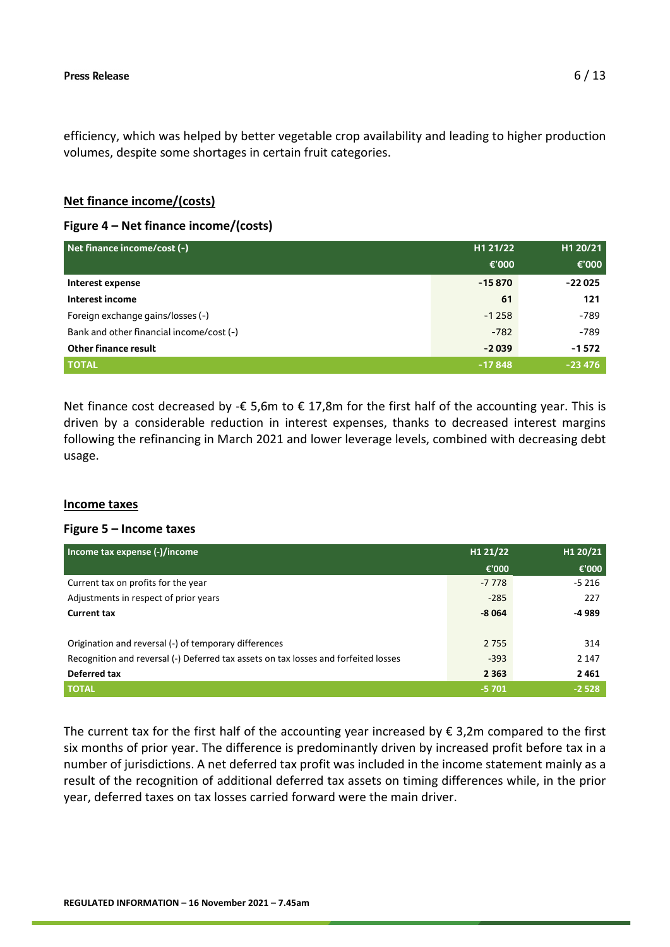efficiency, which was helped by better vegetable crop availability and leading to higher production volumes, despite some shortages in certain fruit categories.

### **Net finance income/(costs)**

### **Figure 4 – Net finance income/(costs)**

| Net finance income/cost (-)              | H1 21/22 | H1 20/21 |
|------------------------------------------|----------|----------|
|                                          | €'000    | €'000    |
| Interest expense                         | $-15870$ | $-22025$ |
| Interest income                          | 61       | 121      |
| Foreign exchange gains/losses (-)        | $-1258$  | $-789$   |
| Bank and other financial income/cost (-) | $-782$   | $-789$   |
| <b>Other finance result</b>              | $-2039$  | $-1572$  |
| <b>TOTAL</b>                             | $-17848$ | $-23476$ |

Net finance cost decreased by - $\epsilon$  5,6m to  $\epsilon$  17,8m for the first half of the accounting year. This is driven by a considerable reduction in interest expenses, thanks to decreased interest margins following the refinancing in March 2021 and lower leverage levels, combined with decreasing debt usage.

#### **Income taxes**

#### **Figure 5 – Income taxes**

| Income tax expense (-)/income                                                       | H1 21/22 | H1 20/21 |
|-------------------------------------------------------------------------------------|----------|----------|
|                                                                                     | €'000    | €'000    |
| Current tax on profits for the year                                                 | $-7778$  | $-5216$  |
| Adjustments in respect of prior years                                               | $-285$   | 227      |
| <b>Current tax</b>                                                                  | $-8064$  | -4 989   |
|                                                                                     |          |          |
| Origination and reversal (-) of temporary differences                               | 2 7 5 5  | 314      |
| Recognition and reversal (-) Deferred tax assets on tax losses and forfeited losses | $-393$   | 2 1 4 7  |
| Deferred tax                                                                        | 2 3 6 3  | 2461     |
| <b>TOTAL</b>                                                                        | $-5701$  | $-2528$  |

The current tax for the first half of the accounting year increased by  $\epsilon$  3,2m compared to the first six months of prior year. The difference is predominantly driven by increased profit before tax in a number of jurisdictions. A net deferred tax profit was included in the income statement mainly as a result of the recognition of additional deferred tax assets on timing differences while, in the prior year, deferred taxes on tax losses carried forward were the main driver.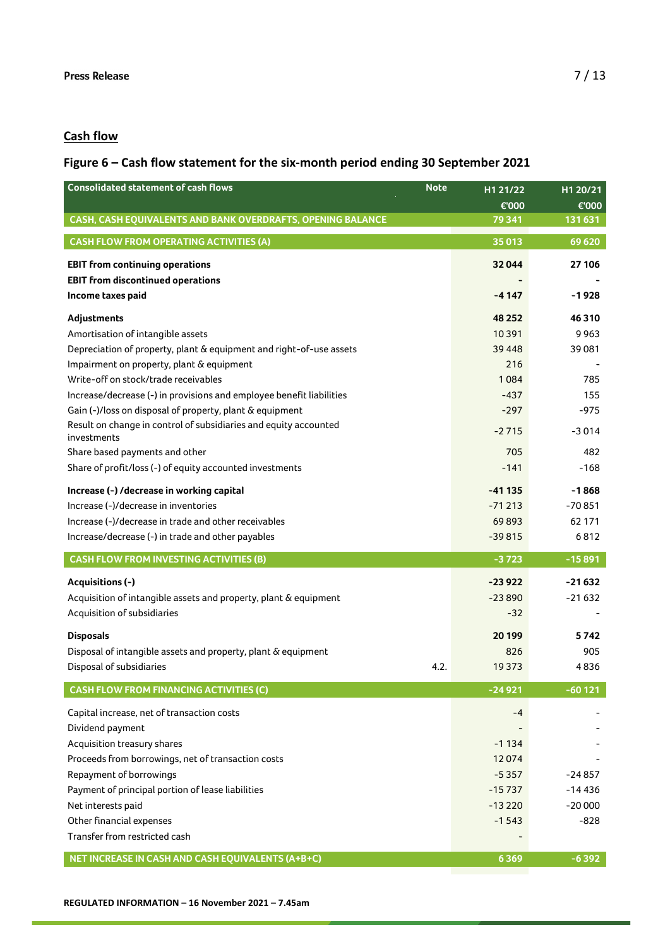# **Cash flow**

# **Figure 6 – Cash flow statement for the six-month period ending 30 September 2021**

| <b>Consolidated statement of cash flows</b><br><b>Note</b>                      | H1 21/22 | H1 20/21 |
|---------------------------------------------------------------------------------|----------|----------|
|                                                                                 | €'000    | €'000    |
| CASH, CASH EQUIVALENTS AND BANK OVERDRAFTS, OPENING BALANCE                     | 79 341   | 131 631  |
| <b>CASH FLOW FROM OPERATING ACTIVITIES (A)</b>                                  | 35013    | 69 620   |
| <b>EBIT from continuing operations</b>                                          | 32044    | 27 106   |
| <b>EBIT from discontinued operations</b>                                        |          |          |
| Income taxes paid                                                               | $-4147$  | $-1928$  |
| Adjustments                                                                     | 48 25 2  | 46310    |
| Amortisation of intangible assets                                               | 10391    | 9963     |
| Depreciation of property, plant & equipment and right-of-use assets             | 39 4 48  | 39081    |
| Impairment on property, plant & equipment                                       | 216      |          |
| Write-off on stock/trade receivables                                            | 1084     | 785      |
| Increase/decrease (-) in provisions and employee benefit liabilities            | $-437$   | 155      |
| Gain (-)/loss on disposal of property, plant & equipment                        | $-297$   | $-975$   |
| Result on change in control of subsidiaries and equity accounted<br>investments | $-2715$  | $-3014$  |
| Share based payments and other                                                  | 705      | 482      |
| Share of profit/loss (-) of equity accounted investments                        | $-141$   | $-168$   |
| Increase (-) /decrease in working capital                                       | $-41135$ | $-1868$  |
| Increase (-)/decrease in inventories                                            | $-71213$ | $-70851$ |
| Increase (-)/decrease in trade and other receivables                            | 69893    | 62 171   |
| Increase/decrease (-) in trade and other payables                               | $-39815$ | 6812     |
| <b>CASH FLOW FROM INVESTING ACTIVITIES (B)</b>                                  | $-3723$  | $-15891$ |
| Acquisitions (-)                                                                | $-23922$ | $-21632$ |
| Acquisition of intangible assets and property, plant & equipment                | $-23890$ | $-21632$ |
| Acquisition of subsidiaries                                                     | $-32$    |          |
| <b>Disposals</b>                                                                | 20 199   | 5742     |
| Disposal of intangible assets and property, plant & equipment                   | 826      | 905      |
| Disposal of subsidiaries<br>4.2.                                                | 19 3 73  | 4836     |
| <b>CASH FLOW FROM FINANCING ACTIVITIES (C)</b>                                  | $-24921$ | $-60121$ |
| Capital increase, net of transaction costs                                      | -4       |          |
| Dividend payment                                                                |          |          |
| Acquisition treasury shares                                                     | -1134    |          |
| Proceeds from borrowings, net of transaction costs                              | 12074    |          |
| Repayment of borrowings                                                         | $-5357$  | -24 857  |
| Payment of principal portion of lease liabilities                               | $-15737$ | $-14436$ |
| Net interests paid                                                              | $-13220$ | $-20000$ |
|                                                                                 |          |          |
|                                                                                 |          |          |
| Other financial expenses<br>Transfer from restricted cash                       | $-1543$  | $-828$   |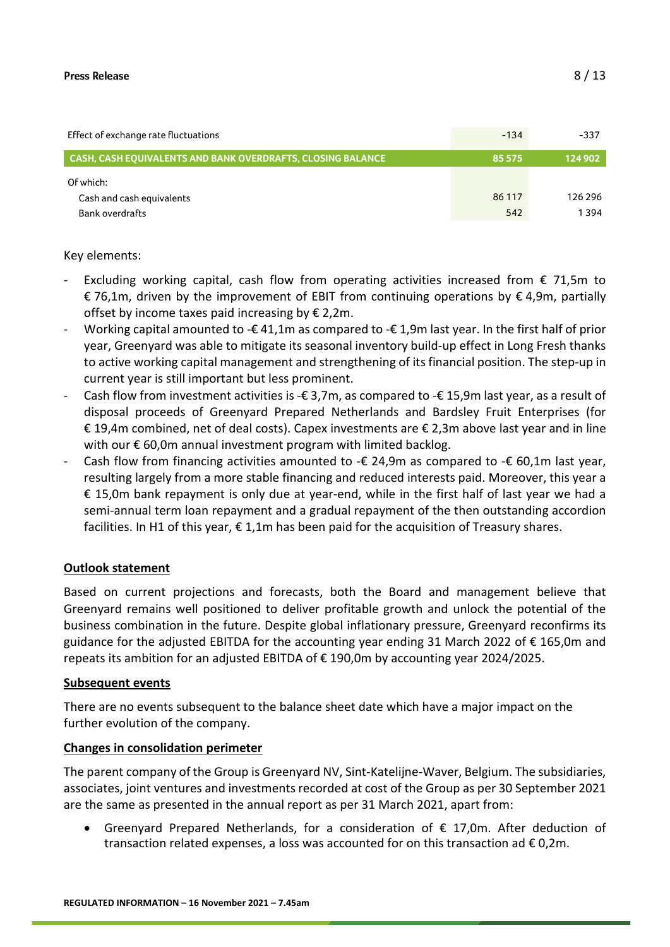| Effect of exchange rate fluctuations                        | $-134$ | -337    |
|-------------------------------------------------------------|--------|---------|
| CASH, CASH EOUIVALENTS AND BANK OVERDRAFTS, CLOSING BALANCE | 85 575 | 124 902 |
| Of which:                                                   |        |         |
| Cash and cash equivalents                                   | 86 117 | 126 296 |
| <b>Bank overdrafts</b>                                      | 542    | 1394    |

Key elements:

- Excluding working capital, cash flow from operating activities increased from  $\epsilon$  71,5m to € 76,1m, driven by the improvement of EBIT from continuing operations by € 4,9m, partially offset by income taxes paid increasing by  $\epsilon$  2,2m.
- Working capital amounted to - $\epsilon$  41,1m as compared to - $\epsilon$  1,9m last year. In the first half of prior year, Greenyard was able to mitigate its seasonal inventory build-up effect in Long Fresh thanks to active working capital management and strengthening of its financial position. The step-up in current year is still important but less prominent.
- Cash flow from investment activities is - $\epsilon$  3,7m, as compared to - $\epsilon$  15,9m last year, as a result of disposal proceeds of Greenyard Prepared Netherlands and Bardsley Fruit Enterprises (for € 19,4m combined, net of deal costs). Capex investments are € 2,3m above last year and in line with our € 60,0m annual investment program with limited backlog.
- Cash flow from financing activities amounted to  $\text{-}€$  24,9m as compared to  $\text{-}€$  60,1m last year, resulting largely from a more stable financing and reduced interests paid. Moreover, this year a € 15,0m bank repayment is only due at year-end, while in the first half of last year we had a semi-annual term loan repayment and a gradual repayment of the then outstanding accordion facilities. In H1 of this year,  $\epsilon$  1,1m has been paid for the acquisition of Treasury shares.

#### **Outlook statement**

Based on current projections and forecasts, both the Board and management believe that Greenyard remains well positioned to deliver profitable growth and unlock the potential of the business combination in the future. Despite global inflationary pressure, Greenyard reconfirms its guidance for the adjusted EBITDA for the accounting year ending 31 March 2022 of € 165,0m and repeats its ambition for an adjusted EBITDA of € 190,0m by accounting year 2024/2025.

#### **Subsequent events**

There are no events subsequent to the balance sheet date which have a major impact on the further evolution of the company.

#### **Changes in consolidation perimeter**

The parent company of the Group is Greenyard NV, Sint-Katelijne-Waver, Belgium. The subsidiaries, associates, joint ventures and investments recorded at cost of the Group as per 30 September 2021 are the same as presented in the annual report as per 31 March 2021, apart from:

• Greenyard Prepared Netherlands, for a consideration of  $\epsilon$  17,0m. After deduction of transaction related expenses, a loss was accounted for on this transaction ad  $\epsilon$  0,2m.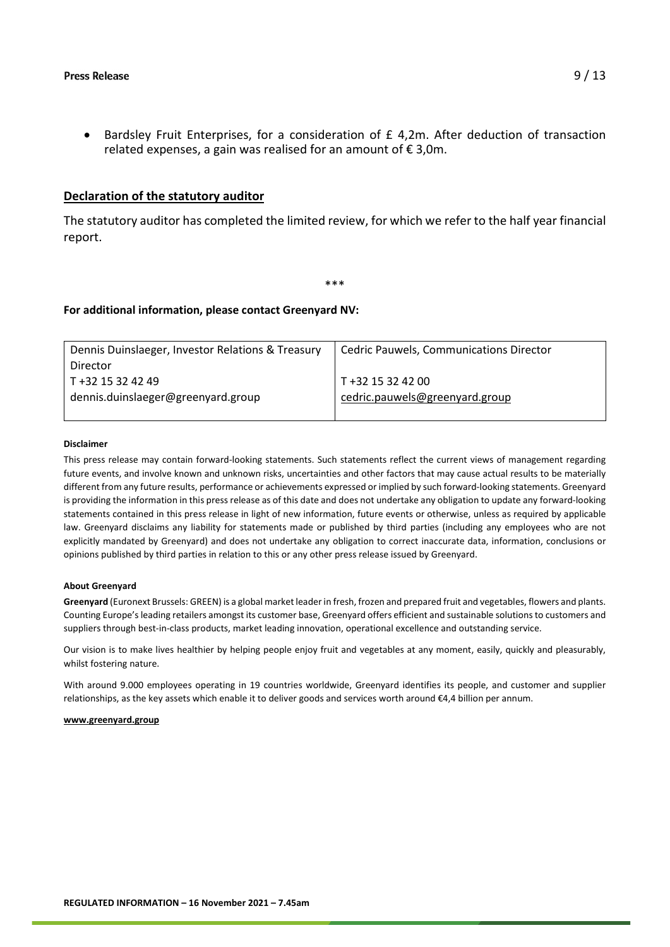• Bardsley Fruit Enterprises, for a consideration of £ 4,2m. After deduction of transaction related expenses, a gain was realised for an amount of  $\epsilon$  3,0m.

#### **Declaration of the statutory auditor**

The statutory auditor has completed the limited review, for which we refer to the half year financial report.

\*\*\*

#### **For additional information, please contact Greenyard NV:**

| Dennis Duinslaeger, Investor Relations & Treasury | <b>Cedric Pauwels, Communications Director</b> |
|---------------------------------------------------|------------------------------------------------|
| Director                                          |                                                |
| T +32 15 32 42 49                                 | T +32 15 32 42 00                              |
| dennis.duinslaeger@greenyard.group                | cedric.pauwels@greenyard.group                 |
|                                                   |                                                |

#### **Disclaimer**

This press release may contain forward-looking statements. Such statements reflect the current views of management regarding future events, and involve known and unknown risks, uncertainties and other factors that may cause actual results to be materially different from any future results, performance or achievements expressed or implied by such forward-looking statements. Greenyard is providing the information in this press release as of this date and does not undertake any obligation to update any forward-looking statements contained in this press release in light of new information, future events or otherwise, unless as required by applicable law. Greenyard disclaims any liability for statements made or published by third parties (including any employees who are not explicitly mandated by Greenyard) and does not undertake any obligation to correct inaccurate data, information, conclusions or opinions published by third parties in relation to this or any other press release issued by Greenyard.

#### **About Greenyard**

**Greenyard** (Euronext Brussels: GREEN) is a global market leader in fresh, frozen and prepared fruit and vegetables, flowers and plants. Counting Europe's leading retailers amongst its customer base, Greenyard offers efficient and sustainable solutions to customers and suppliers through best-in-class products, market leading innovation, operational excellence and outstanding service.

Our vision is to make lives healthier by helping people enjoy fruit and vegetables at any moment, easily, quickly and pleasurably, whilst fostering nature.

With around 9.000 employees operating in 19 countries worldwide, Greenyard identifies its people, and customer and supplier relationships, as the key assets which enable it to deliver goods and services worth around €4,4 billion per annum.

#### **[www.greenyard.group](http://www.greenyard.group/)**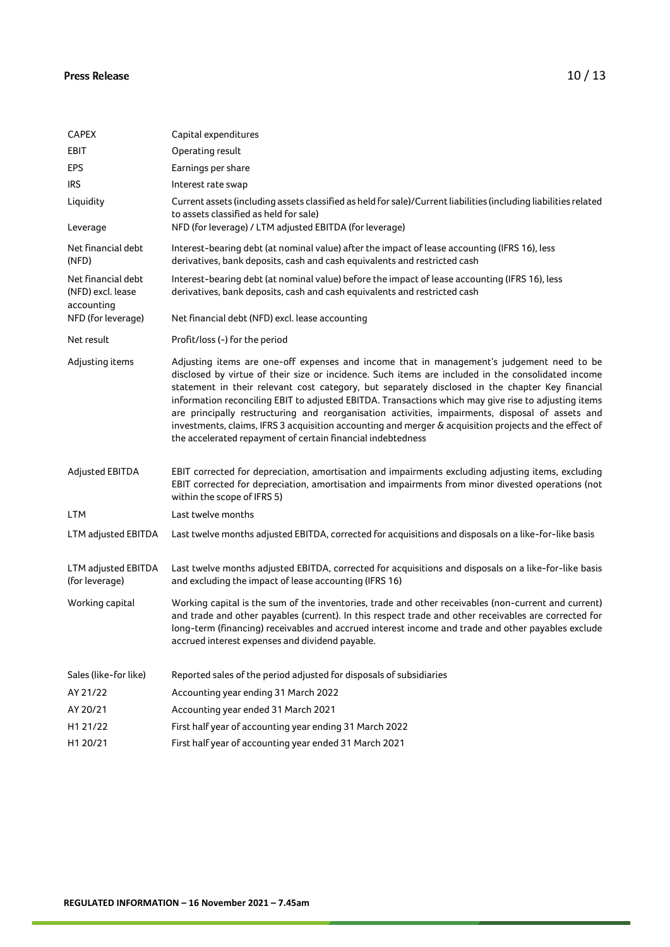| <b>CAPEX</b>                                          | Capital expenditures                                                                                                                                                                                                                                                                                                                                                                                                                                                                                                                                                                                                                                                                     |
|-------------------------------------------------------|------------------------------------------------------------------------------------------------------------------------------------------------------------------------------------------------------------------------------------------------------------------------------------------------------------------------------------------------------------------------------------------------------------------------------------------------------------------------------------------------------------------------------------------------------------------------------------------------------------------------------------------------------------------------------------------|
| EBIT                                                  | Operating result                                                                                                                                                                                                                                                                                                                                                                                                                                                                                                                                                                                                                                                                         |
| <b>EPS</b>                                            | Earnings per share                                                                                                                                                                                                                                                                                                                                                                                                                                                                                                                                                                                                                                                                       |
| <b>IRS</b>                                            | Interest rate swap                                                                                                                                                                                                                                                                                                                                                                                                                                                                                                                                                                                                                                                                       |
| Liquidity                                             | Current assets (including assets classified as held for sale)/Current liabilities (including liabilities related<br>to assets classified as held for sale)                                                                                                                                                                                                                                                                                                                                                                                                                                                                                                                               |
| Leverage                                              | NFD (for leverage) / LTM adjusted EBITDA (for leverage)                                                                                                                                                                                                                                                                                                                                                                                                                                                                                                                                                                                                                                  |
| Net financial debt<br>(NFD)                           | Interest-bearing debt (at nominal value) after the impact of lease accounting (IFRS 16), less<br>derivatives, bank deposits, cash and cash equivalents and restricted cash                                                                                                                                                                                                                                                                                                                                                                                                                                                                                                               |
| Net financial debt<br>(NFD) excl. lease<br>accounting | Interest-bearing debt (at nominal value) before the impact of lease accounting (IFRS 16), less<br>derivatives, bank deposits, cash and cash equivalents and restricted cash                                                                                                                                                                                                                                                                                                                                                                                                                                                                                                              |
| NFD (for leverage)                                    | Net financial debt (NFD) excl. lease accounting                                                                                                                                                                                                                                                                                                                                                                                                                                                                                                                                                                                                                                          |
| Net result                                            | Profit/loss (-) for the period                                                                                                                                                                                                                                                                                                                                                                                                                                                                                                                                                                                                                                                           |
| Adjusting items                                       | Adjusting items are one-off expenses and income that in management's judgement need to be<br>disclosed by virtue of their size or incidence. Such items are included in the consolidated income<br>statement in their relevant cost category, but separately disclosed in the chapter Key financial<br>information reconciling EBIT to adjusted EBITDA. Transactions which may give rise to adjusting items<br>are principally restructuring and reorganisation activities, impairments, disposal of assets and<br>investments, claims, IFRS 3 acquisition accounting and merger & acquisition projects and the effect of<br>the accelerated repayment of certain financial indebtedness |
| <b>Adjusted EBITDA</b>                                | EBIT corrected for depreciation, amortisation and impairments excluding adjusting items, excluding<br>EBIT corrected for depreciation, amortisation and impairments from minor divested operations (not<br>within the scope of IFRS 5)                                                                                                                                                                                                                                                                                                                                                                                                                                                   |
| <b>LTM</b>                                            | Last twelve months                                                                                                                                                                                                                                                                                                                                                                                                                                                                                                                                                                                                                                                                       |
| LTM adjusted EBITDA                                   | Last twelve months adjusted EBITDA, corrected for acquisitions and disposals on a like-for-like basis                                                                                                                                                                                                                                                                                                                                                                                                                                                                                                                                                                                    |
| LTM adjusted EBITDA<br>(for leverage)                 | Last twelve months adjusted EBITDA, corrected for acquisitions and disposals on a like-for-like basis<br>and excluding the impact of lease accounting (IFRS 16)                                                                                                                                                                                                                                                                                                                                                                                                                                                                                                                          |
| Working capital                                       | Working capital is the sum of the inventories, trade and other receivables (non-current and current)<br>and trade and other payables (current). In this respect trade and other receivables are corrected for<br>long-term (financing) receivables and accrued interest income and trade and other payables exclude<br>accrued interest expenses and dividend payable.                                                                                                                                                                                                                                                                                                                   |
| Sales (like-for like)                                 | Reported sales of the period adjusted for disposals of subsidiaries                                                                                                                                                                                                                                                                                                                                                                                                                                                                                                                                                                                                                      |
| AY 21/22                                              | Accounting year ending 31 March 2022                                                                                                                                                                                                                                                                                                                                                                                                                                                                                                                                                                                                                                                     |
| AY 20/21                                              | Accounting year ended 31 March 2021                                                                                                                                                                                                                                                                                                                                                                                                                                                                                                                                                                                                                                                      |
| H1 21/22                                              | First half year of accounting year ending 31 March 2022                                                                                                                                                                                                                                                                                                                                                                                                                                                                                                                                                                                                                                  |
| H1 20/21                                              | First half year of accounting year ended 31 March 2021                                                                                                                                                                                                                                                                                                                                                                                                                                                                                                                                                                                                                                   |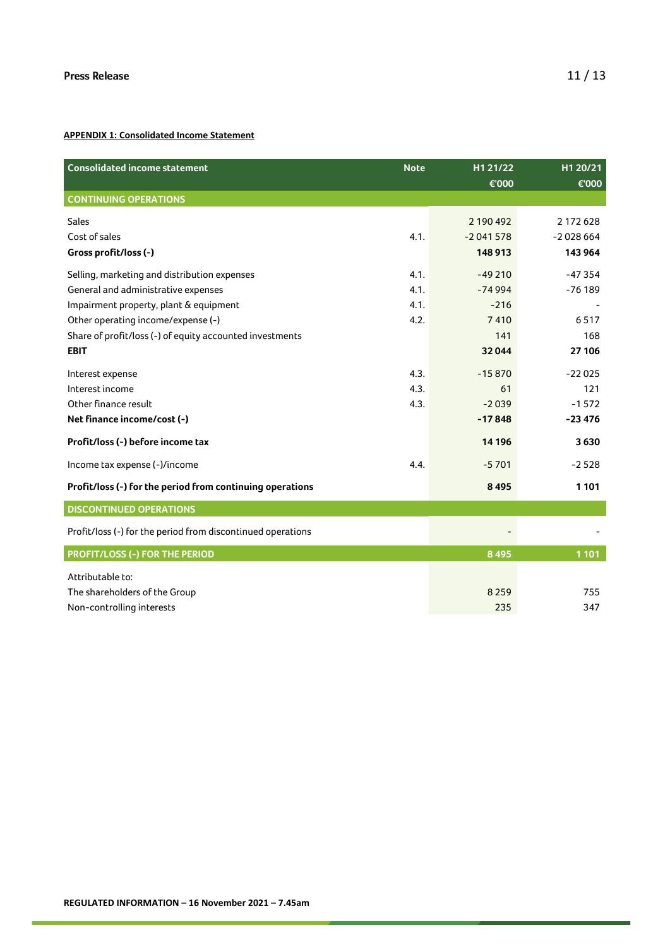#### **APPENDIX 1: Consolidated Income Statement**

| <b>Consolidated income statement</b>                        | <b>Note</b> | H1 21/22<br>€'000 | H1 20/21<br>€'000 |
|-------------------------------------------------------------|-------------|-------------------|-------------------|
| <b>CONTINUING OPERATIONS</b>                                |             |                   |                   |
| <b>Sales</b>                                                |             | 2 190 492         | 2 172 628         |
| Cost of sales                                               | 4.1.        | $-2041578$        | $-2028664$        |
| Gross profit/loss (-)                                       |             | 148 913           | 143 964           |
| Selling, marketing and distribution expenses                | 4.1.        | $-49210$          | $-47354$          |
| General and administrative expenses                         | 4.1.        | $-74994$          | $-76189$          |
| Impairment property, plant & equipment                      | 4.1.        | $-216$            |                   |
| Other operating income/expense (-)                          | 4.2.        | 7410              | 6517              |
| Share of profit/loss (-) of equity accounted investments    |             | 141               | 168               |
| <b>EBIT</b>                                                 |             | 32044             | 27 106            |
| Interest expense                                            | 4.3.        | $-15870$          | $-22025$          |
| Interest income                                             | 4.3.        | 61                | 121               |
| Other finance result                                        | 4.3.        | $-2039$           | $-1572$           |
| Net finance income/cost (-)                                 |             | $-17848$          | $-23476$          |
| Profit/loss (-) before income tax                           |             | 14 19 6           | 3630              |
| Income tax expense (-)/income                               | 4.4.        | $-5701$           | $-2528$           |
| Profit/loss (-) for the period from continuing operations   |             | 8 4 9 5           | 1 1 0 1           |
| <b>DISCONTINUED OPERATIONS</b>                              |             |                   |                   |
| Profit/loss (-) for the period from discontinued operations |             |                   |                   |
| <b>PROFIT/LOSS (-) FOR THE PERIOD</b>                       |             | 8 4 9 5           | 1 1 0 1           |
| Attributable to:                                            |             |                   |                   |
| The shareholders of the Group                               |             | 8 2 5 9           | 755               |
| Non-controlling interests                                   |             | 235               | 347               |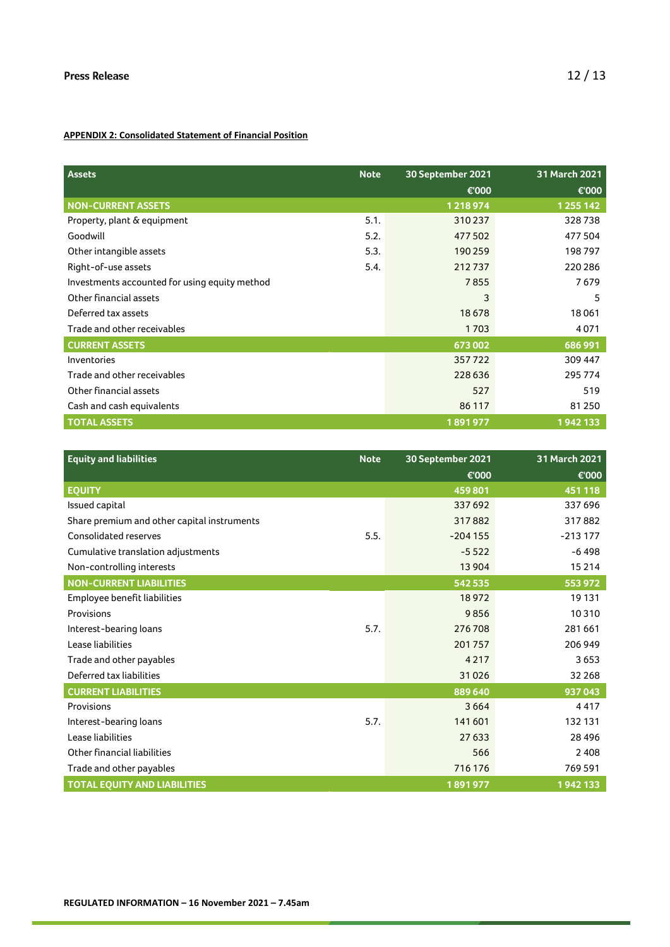#### **APPENDIX 2: Consolidated Statement of Financial Position**

| <b>Assets</b>                                 | <b>Note</b> | 30 September 2021 | 31 March 2021 |
|-----------------------------------------------|-------------|-------------------|---------------|
|                                               |             | €'000             | €'000         |
| <b>NON-CURRENT ASSETS</b>                     |             | 1218974           | 1 2 5 1 4 2   |
| Property, plant & equipment                   | 5.1.        | 310237            | 328738        |
| Goodwill                                      | 5.2.        | 477502            | 477504        |
| Other intangible assets                       | 5.3.        | 190 259           | 198797        |
| Right-of-use assets                           | 5.4.        | 212737            | 220 286       |
| Investments accounted for using equity method |             | 7855              | 7679          |
| Other financial assets                        |             | 3                 | 5             |
| Deferred tax assets                           |             | 18678             | 18061         |
| Trade and other receivables                   |             | 1703              | 4071          |
| <b>CURRENT ASSETS</b>                         |             | 673002            | 686 991       |
| Inventories                                   |             | 357722            | 309 447       |
| Trade and other receivables                   |             | 228 636           | 295 774       |
| Other financial assets                        |             | 527               | 519           |
| Cash and cash equivalents                     |             | 86 117            | 81 250        |
| <b>TOTAL ASSETS</b>                           |             | 1891977           | 1942133       |

| <b>Equity and liabilities</b>               | <b>Note</b> | 30 September 2021 | 31 March 2021 |
|---------------------------------------------|-------------|-------------------|---------------|
|                                             |             | €'000             | €'000         |
| <b>EQUITY</b>                               |             | 459801            | 451 118       |
| Issued capital                              |             | 337 692           | 337 696       |
| Share premium and other capital instruments |             | 317882            | 317882        |
| <b>Consolidated reserves</b>                | 5.5.        | $-204155$         | $-213177$     |
| Cumulative translation adjustments          |             | $-5522$           | $-6498$       |
| Non-controlling interests                   |             | 13 9 04           | 15 2 14       |
| <b>NON-CURRENT LIABILITIES</b>              |             | 542 535           | 553 972       |
| Employee benefit liabilities                |             | 18972             | 19 131        |
| Provisions                                  |             | 9856              | 10310         |
| Interest-bearing loans                      | 5.7.        | 276708            | 281 661       |
| Lease liabilities                           |             | 201 757           | 206 949       |
| Trade and other payables                    |             | 4217              | 3653          |
| Deferred tax liabilities                    |             | 31026             | 32 2 68       |
| <b>CURRENT LIABILITIES</b>                  |             | 889 640           | 937043        |
| Provisions                                  |             | 3664              | 4417          |
| Interest-bearing loans                      | 5.7.        | 141 601           | 132 131       |
| Lease liabilities                           |             | 27 633            | 28 4 9 6      |
| Other financial liabilities                 |             | 566               | 2 4 0 8       |
| Trade and other payables                    |             | 716 176           | 769591        |
| <b>TOTAL EOUITY AND LIABILITIES</b>         |             | 1891977           | 1942133       |